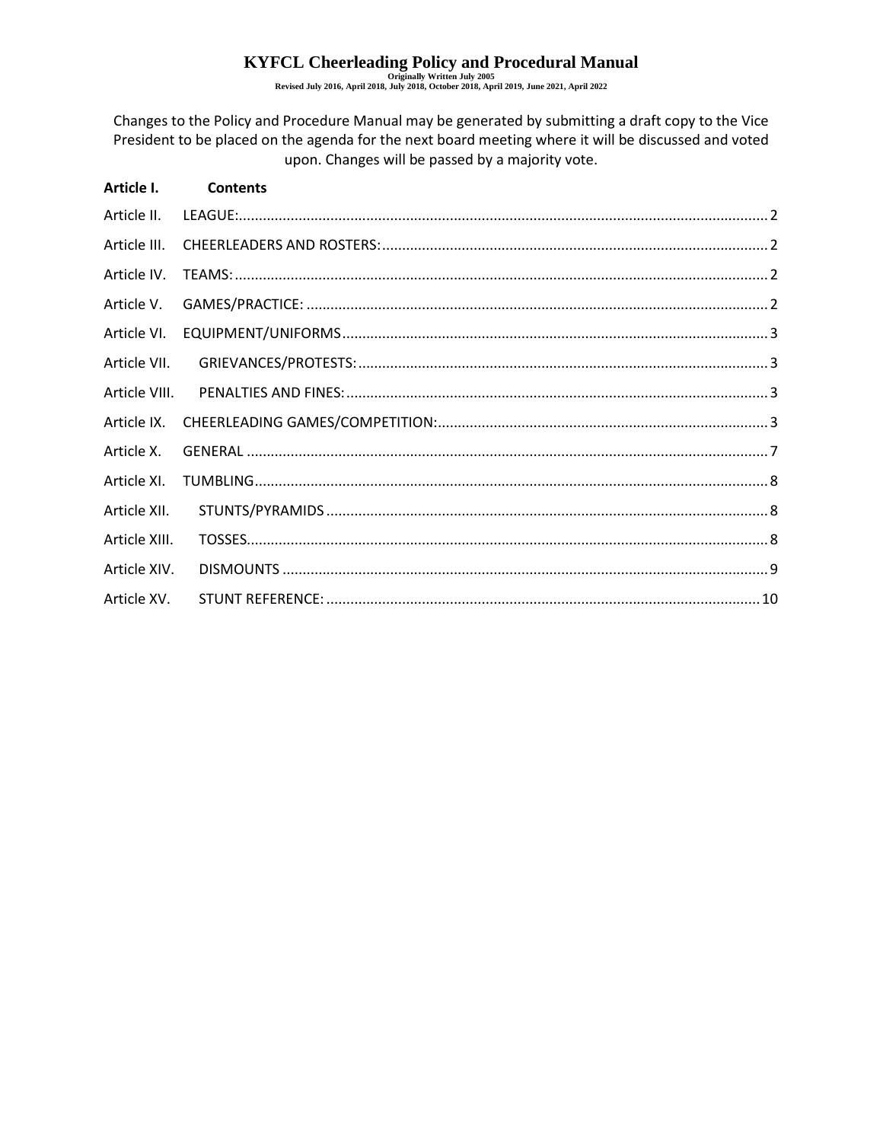# KYFCL Cheerleading Policy and Procedural Manual Revised July 2016, April 2018, July 2018, October 2018, April 2019, June 2021, April 2022

Changes to the Policy and Procedure Manual may be generated by submitting a draft copy to the Vice President to be placed on the agenda for the next board meeting where it will be discussed and voted upon. Changes will be passed by a majority vote.

| Article I.    | <b>Contents</b> |  |
|---------------|-----------------|--|
| Article II.   |                 |  |
| Article III.  |                 |  |
| Article IV.   |                 |  |
| Article V.    |                 |  |
| Article VI.   |                 |  |
| Article VII.  |                 |  |
| Article VIII. |                 |  |
| Article IX.   |                 |  |
| Article X.    |                 |  |
| Article XI.   |                 |  |
| Article XII.  |                 |  |
| Article XIII. |                 |  |
| Article XIV.  |                 |  |
| Article XV.   |                 |  |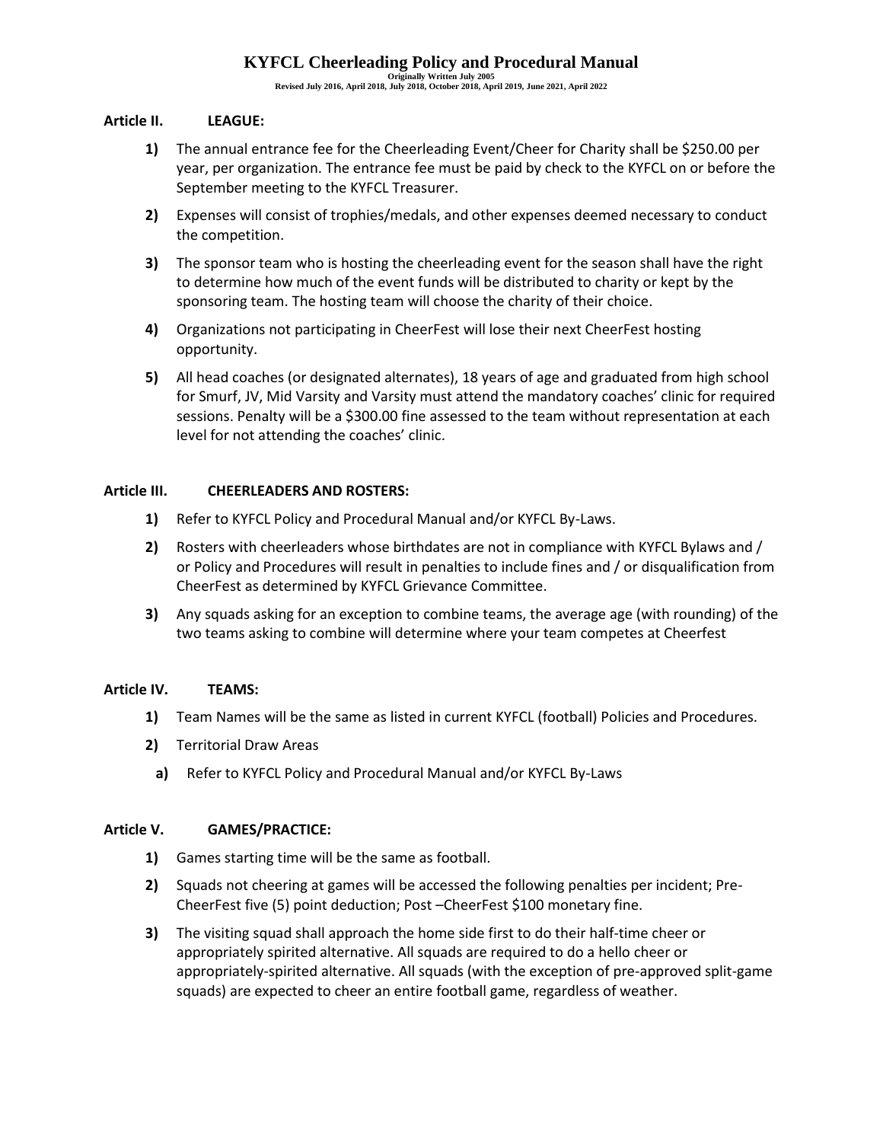**Originally Written July 2005 Revised July 2016, April 2018, July 2018, October 2018, April 2019, June 2021, April 2022**

### <span id="page-1-0"></span>**Article II. LEAGUE:**

- **1)** The annual entrance fee for the Cheerleading Event/Cheer for Charity shall be \$250.00 per year, per organization. The entrance fee must be paid by check to the KYFCL on or before the September meeting to the KYFCL Treasurer.
- **2)** Expenses will consist of trophies/medals, and other expenses deemed necessary to conduct the competition.
- **3)** The sponsor team who is hosting the cheerleading event for the season shall have the right to determine how much of the event funds will be distributed to charity or kept by the sponsoring team. The hosting team will choose the charity of their choice.
- **4)** Organizations not participating in CheerFest will lose their next CheerFest hosting opportunity.
- **5)** All head coaches (or designated alternates), 18 years of age and graduated from high school for Smurf, JV, Mid Varsity and Varsity must attend the mandatory coaches' clinic for required sessions. Penalty will be a \$300.00 fine assessed to the team without representation at each level for not attending the coaches' clinic.

### <span id="page-1-1"></span>**Article III. CHEERLEADERS AND ROSTERS:**

- **1)** Refer to KYFCL Policy and Procedural Manual and/or KYFCL By-Laws.
- **2)** Rosters with cheerleaders whose birthdates are not in compliance with KYFCL Bylaws and / or Policy and Procedures will result in penalties to include fines and / or disqualification from CheerFest as determined by KYFCL Grievance Committee.
- **3)** Any squads asking for an exception to combine teams, the average age (with rounding) of the two teams asking to combine will determine where your team competes at Cheerfest

## <span id="page-1-2"></span>**Article IV. TEAMS:**

- **1)** Team Names will be the same as listed in current KYFCL (football) Policies and Procedures.
- **2)** Territorial Draw Areas
	- **a)** Refer to KYFCL Policy and Procedural Manual and/or KYFCL By-Laws

#### <span id="page-1-3"></span>**Article V. GAMES/PRACTICE:**

- **1)** Games starting time will be the same as football.
- **2)** Squads not cheering at games will be accessed the following penalties per incident; Pre-CheerFest five (5) point deduction; Post –CheerFest \$100 monetary fine.
- **3)** The visiting squad shall approach the home side first to do their half-time cheer or appropriately spirited alternative. All squads are required to do a hello cheer or appropriately-spirited alternative. All squads (with the exception of pre-approved split-game squads) are expected to cheer an entire football game, regardless of weather.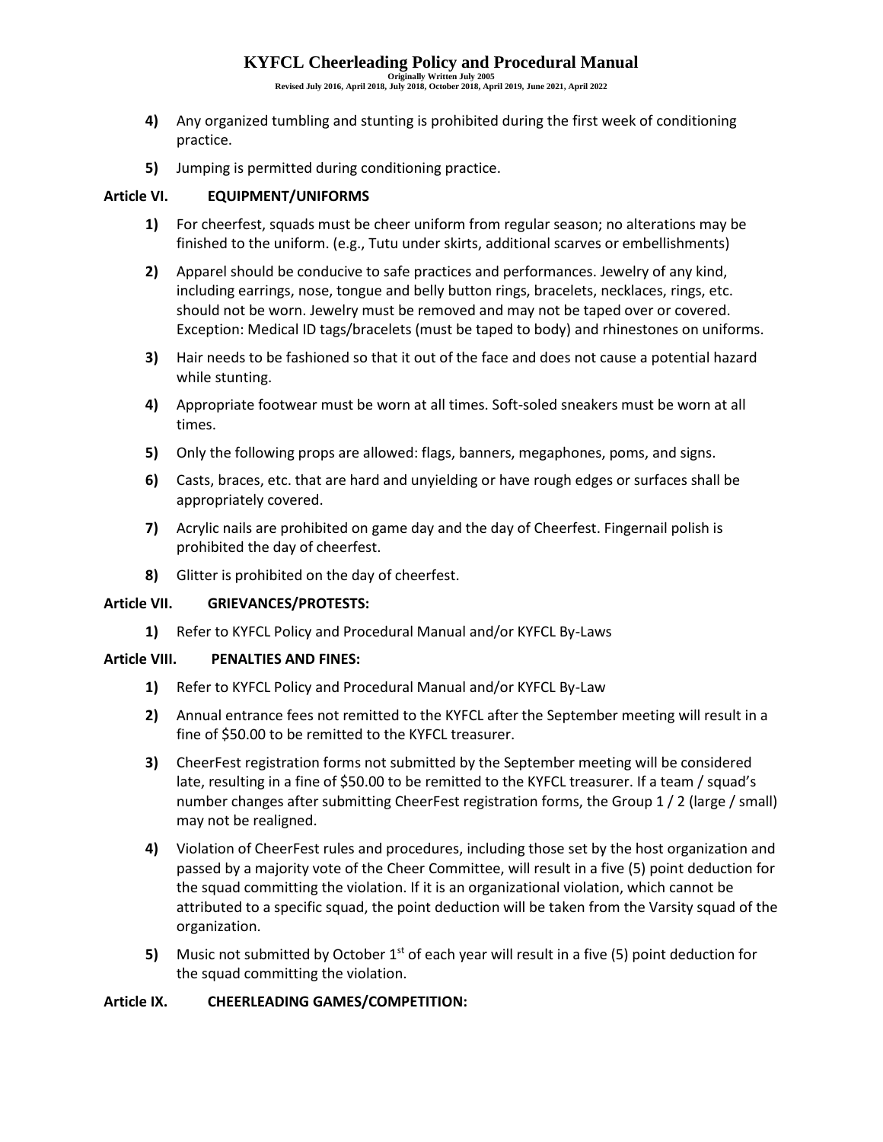**Originally Written July 2005 Revised July 2016, April 2018, July 2018, October 2018, April 2019, June 2021, April 2022**

- **4)** Any organized tumbling and stunting is prohibited during the first week of conditioning practice.
- **5)** Jumping is permitted during conditioning practice.

## <span id="page-2-0"></span>**Article VI. EQUIPMENT/UNIFORMS**

- **1)** For cheerfest, squads must be cheer uniform from regular season; no alterations may be finished to the uniform. (e.g., Tutu under skirts, additional scarves or embellishments)
- **2)** Apparel should be conducive to safe practices and performances. Jewelry of any kind, including earrings, nose, tongue and belly button rings, bracelets, necklaces, rings, etc. should not be worn. Jewelry must be removed and may not be taped over or covered. Exception: Medical ID tags/bracelets (must be taped to body) and rhinestones on uniforms.
- **3)** Hair needs to be fashioned so that it out of the face and does not cause a potential hazard while stunting.
- **4)** Appropriate footwear must be worn at all times. Soft-soled sneakers must be worn at all times.
- **5)** Only the following props are allowed: flags, banners, megaphones, poms, and signs.
- **6)** Casts, braces, etc. that are hard and unyielding or have rough edges or surfaces shall be appropriately covered.
- **7)** Acrylic nails are prohibited on game day and the day of Cheerfest. Fingernail polish is prohibited the day of cheerfest.
- **8)** Glitter is prohibited on the day of cheerfest.

#### <span id="page-2-1"></span>**Article VII. GRIEVANCES/PROTESTS:**

<span id="page-2-2"></span>**1)** Refer to KYFCL Policy and Procedural Manual and/or KYFCL By-Laws

#### **Article VIII. PENALTIES AND FINES:**

- **1)** Refer to KYFCL Policy and Procedural Manual and/or KYFCL By-Law
- **2)** Annual entrance fees not remitted to the KYFCL after the September meeting will result in a fine of \$50.00 to be remitted to the KYFCL treasurer.
- **3)** CheerFest registration forms not submitted by the September meeting will be considered late, resulting in a fine of \$50.00 to be remitted to the KYFCL treasurer. If a team / squad's number changes after submitting CheerFest registration forms, the Group 1 / 2 (large / small) may not be realigned.
- **4)** Violation of CheerFest rules and procedures, including those set by the host organization and passed by a majority vote of the Cheer Committee, will result in a five (5) point deduction for the squad committing the violation. If it is an organizational violation, which cannot be attributed to a specific squad, the point deduction will be taken from the Varsity squad of the organization.
- **5)** Music not submitted by October 1<sup>st</sup> of each year will result in a five (5) point deduction for the squad committing the violation.

#### <span id="page-2-3"></span>**Article IX. CHEERLEADING GAMES/COMPETITION:**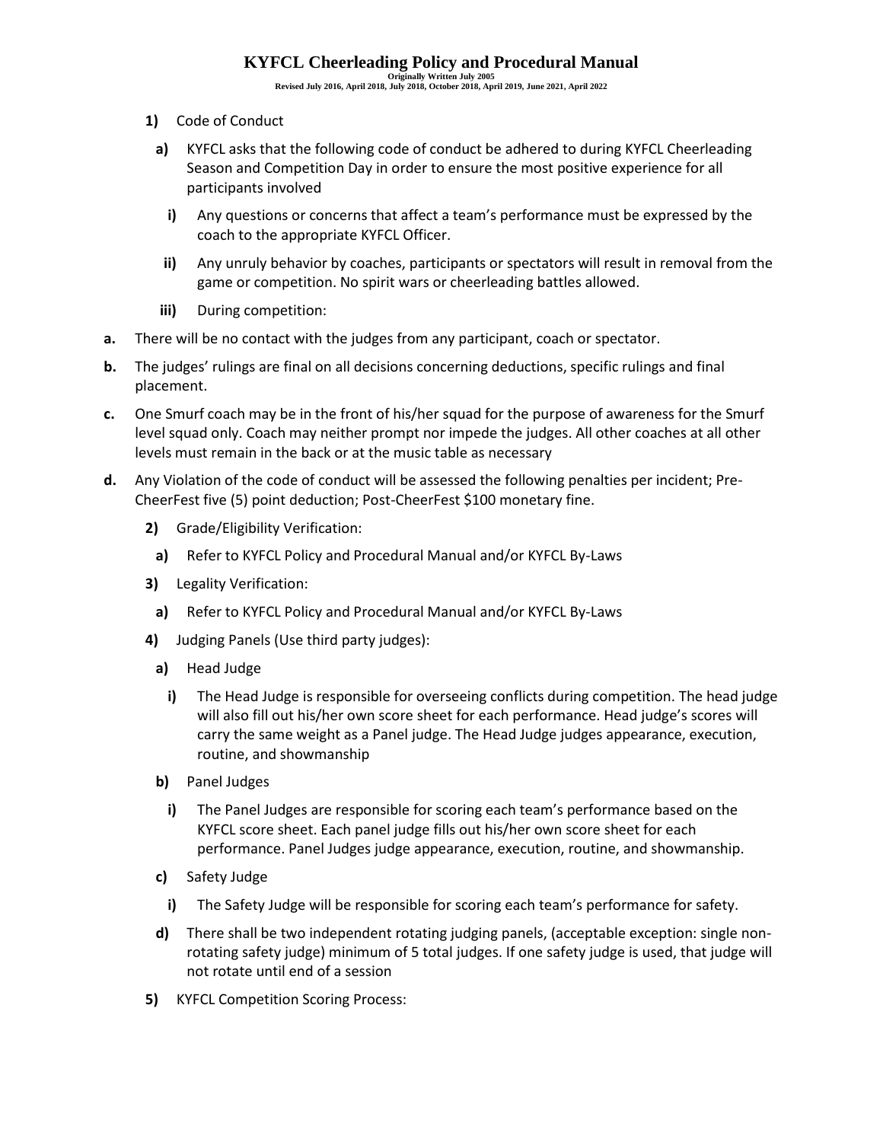**Originally Written July 2005 Revised July 2016, April 2018, July 2018, October 2018, April 2019, June 2021, April 2022**

- **1)** Code of Conduct
- **a)** KYFCL asks that the following code of conduct be adhered to during KYFCL Cheerleading Season and Competition Day in order to ensure the most positive experience for all participants involved
	- **i)** Any questions or concerns that affect a team's performance must be expressed by the coach to the appropriate KYFCL Officer.
	- **ii)** Any unruly behavior by coaches, participants or spectators will result in removal from the game or competition. No spirit wars or cheerleading battles allowed.
- **iii)** During competition:
- **a.** There will be no contact with the judges from any participant, coach or spectator.
- **b.** The judges' rulings are final on all decisions concerning deductions, specific rulings and final placement.
- **c.** One Smurf coach may be in the front of his/her squad for the purpose of awareness for the Smurf level squad only. Coach may neither prompt nor impede the judges. All other coaches at all other levels must remain in the back or at the music table as necessary
- **d.** Any Violation of the code of conduct will be assessed the following penalties per incident; Pre-CheerFest five (5) point deduction; Post-CheerFest \$100 monetary fine.
	- **2)** Grade/Eligibility Verification:
		- **a)** Refer to KYFCL Policy and Procedural Manual and/or KYFCL By-Laws
	- **3)** Legality Verification:
	- **a)** Refer to KYFCL Policy and Procedural Manual and/or KYFCL By-Laws
	- **4)** Judging Panels (Use third party judges):
		- **a)** Head Judge
			- **i)** The Head Judge is responsible for overseeing conflicts during competition. The head judge will also fill out his/her own score sheet for each performance. Head judge's scores will carry the same weight as a Panel judge. The Head Judge judges appearance, execution, routine, and showmanship
		- **b)** Panel Judges
			- **i)** The Panel Judges are responsible for scoring each team's performance based on the KYFCL score sheet. Each panel judge fills out his/her own score sheet for each performance. Panel Judges judge appearance, execution, routine, and showmanship.
		- **c)** Safety Judge
		- **i)** The Safety Judge will be responsible for scoring each team's performance for safety.
		- **d)** There shall be two independent rotating judging panels, (acceptable exception: single nonrotating safety judge) minimum of 5 total judges. If one safety judge is used, that judge will not rotate until end of a session
	- **5)** KYFCL Competition Scoring Process: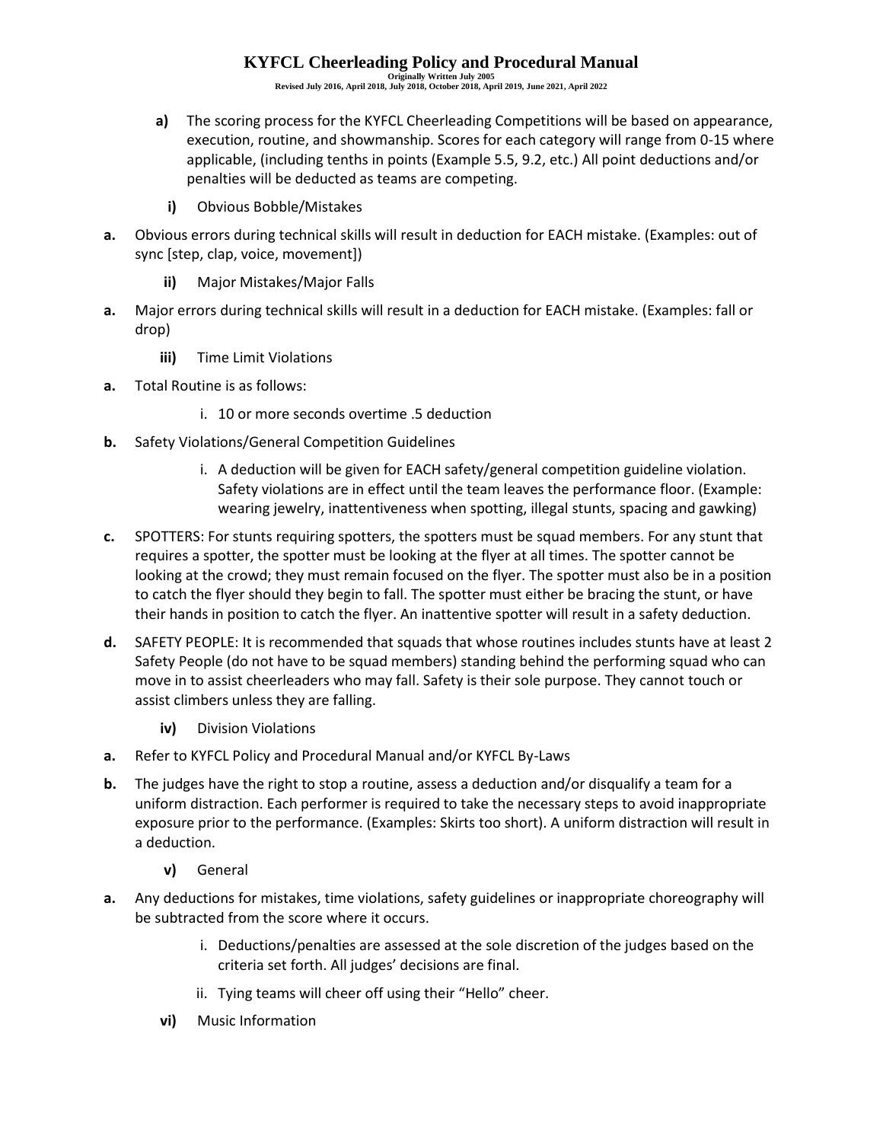**Originally Written July 2005 Revised July 2016, April 2018, July 2018, October 2018, April 2019, June 2021, April 2022**

- **a)** The scoring process for the KYFCL Cheerleading Competitions will be based on appearance, execution, routine, and showmanship. Scores for each category will range from 0-15 where applicable, (including tenths in points (Example 5.5, 9.2, etc.) All point deductions and/or penalties will be deducted as teams are competing.
	- **i)** Obvious Bobble/Mistakes
- **a.** Obvious errors during technical skills will result in deduction for EACH mistake. (Examples: out of sync [step, clap, voice, movement])
	- **ii)** Major Mistakes/Major Falls
- **a.** Major errors during technical skills will result in a deduction for EACH mistake. (Examples: fall or drop)
	- **iii)** Time Limit Violations
- **a.** Total Routine is as follows:
	- i. 10 or more seconds overtime .5 deduction
- **b.** Safety Violations/General Competition Guidelines
	- i. A deduction will be given for EACH safety/general competition guideline violation. Safety violations are in effect until the team leaves the performance floor. (Example: wearing jewelry, inattentiveness when spotting, illegal stunts, spacing and gawking)
- **c.** SPOTTERS: For stunts requiring spotters, the spotters must be squad members. For any stunt that requires a spotter, the spotter must be looking at the flyer at all times. The spotter cannot be looking at the crowd; they must remain focused on the flyer. The spotter must also be in a position to catch the flyer should they begin to fall. The spotter must either be bracing the stunt, or have their hands in position to catch the flyer. An inattentive spotter will result in a safety deduction.
- **d.** SAFETY PEOPLE: It is recommended that squads that whose routines includes stunts have at least 2 Safety People (do not have to be squad members) standing behind the performing squad who can move in to assist cheerleaders who may fall. Safety is their sole purpose. They cannot touch or assist climbers unless they are falling.
	- **iv)** Division Violations
- **a.** Refer to KYFCL Policy and Procedural Manual and/or KYFCL By-Laws
- **b.** The judges have the right to stop a routine, assess a deduction and/or disqualify a team for a uniform distraction. Each performer is required to take the necessary steps to avoid inappropriate exposure prior to the performance. (Examples: Skirts too short). A uniform distraction will result in a deduction.
	- **v)** General
- **a.** Any deductions for mistakes, time violations, safety guidelines or inappropriate choreography will be subtracted from the score where it occurs.
	- i. Deductions/penalties are assessed at the sole discretion of the judges based on the criteria set forth. All judges' decisions are final.
	- ii. Tying teams will cheer off using their "Hello" cheer.
	- **vi)** Music Information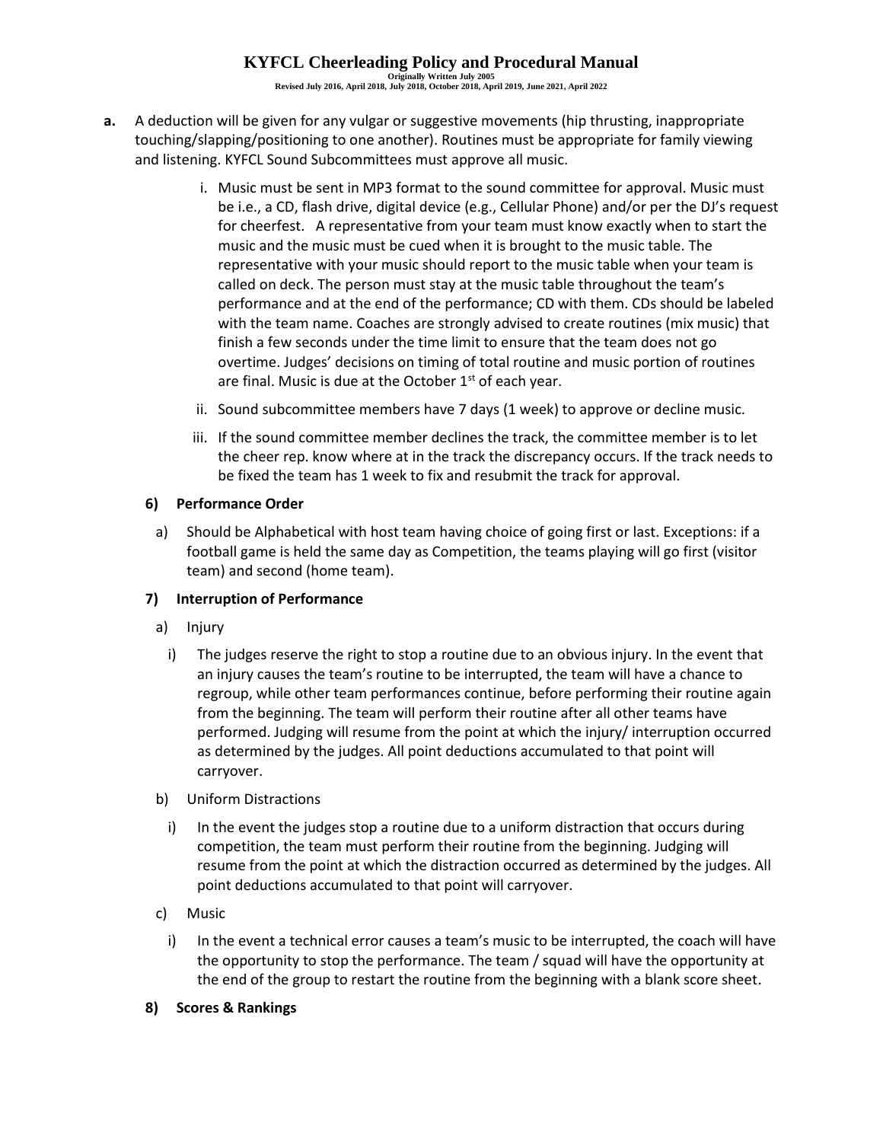**Originally Written July 2005 Revised July 2016, April 2018, July 2018, October 2018, April 2019, June 2021, April 2022**

- **a.** A deduction will be given for any vulgar or suggestive movements (hip thrusting, inappropriate touching/slapping/positioning to one another). Routines must be appropriate for family viewing and listening. KYFCL Sound Subcommittees must approve all music.
	- i. Music must be sent in MP3 format to the sound committee for approval. Music must be i.e., a CD, flash drive, digital device (e.g., Cellular Phone) and/or per the DJ's request for cheerfest. A representative from your team must know exactly when to start the music and the music must be cued when it is brought to the music table. The representative with your music should report to the music table when your team is called on deck. The person must stay at the music table throughout the team's performance and at the end of the performance; CD with them. CDs should be labeled with the team name. Coaches are strongly advised to create routines (mix music) that finish a few seconds under the time limit to ensure that the team does not go overtime. Judges' decisions on timing of total routine and music portion of routines are final. Music is due at the October  $1<sup>st</sup>$  of each year.
	- ii. Sound subcommittee members have 7 days (1 week) to approve or decline music.
	- iii. If the sound committee member declines the track, the committee member is to let the cheer rep. know where at in the track the discrepancy occurs. If the track needs to be fixed the team has 1 week to fix and resubmit the track for approval.

## **6) Performance Order**

a) Should be Alphabetical with host team having choice of going first or last. Exceptions: if a football game is held the same day as Competition, the teams playing will go first (visitor team) and second (home team).

## **7) Interruption of Performance**

- a) Injury
	- i) The judges reserve the right to stop a routine due to an obvious injury. In the event that an injury causes the team's routine to be interrupted, the team will have a chance to regroup, while other team performances continue, before performing their routine again from the beginning. The team will perform their routine after all other teams have performed. Judging will resume from the point at which the injury/ interruption occurred as determined by the judges. All point deductions accumulated to that point will carryover.
- b) Uniform Distractions
	- i) In the event the judges stop a routine due to a uniform distraction that occurs during competition, the team must perform their routine from the beginning. Judging will resume from the point at which the distraction occurred as determined by the judges. All point deductions accumulated to that point will carryover.
- c) Music
	- i) In the event a technical error causes a team's music to be interrupted, the coach will have the opportunity to stop the performance. The team / squad will have the opportunity at the end of the group to restart the routine from the beginning with a blank score sheet.
- **8) Scores & Rankings**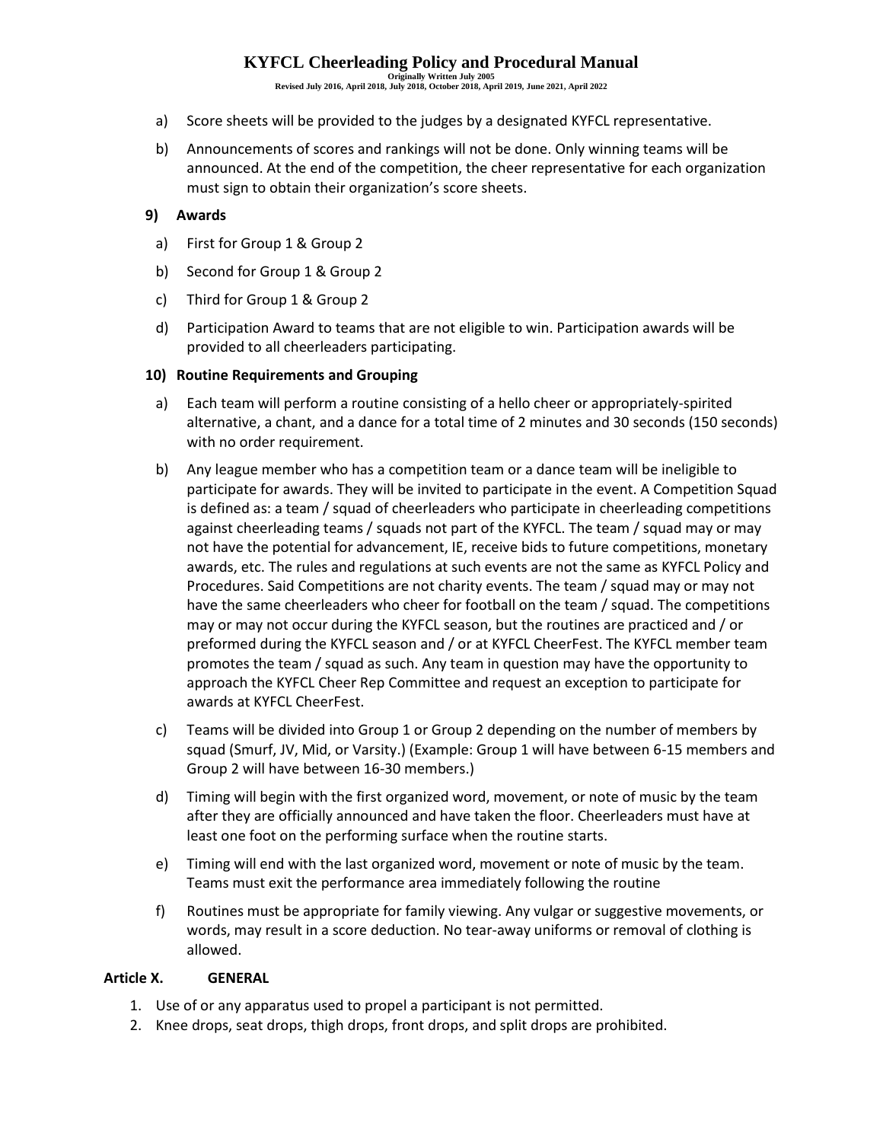**Originally Written July 2005 Revised July 2016, April 2018, July 2018, October 2018, April 2019, June 2021, April 2022**

- a) Score sheets will be provided to the judges by a designated KYFCL representative.
- b) Announcements of scores and rankings will not be done. Only winning teams will be announced. At the end of the competition, the cheer representative for each organization must sign to obtain their organization's score sheets.

## **9) Awards**

- a) First for Group 1 & Group 2
- b) Second for Group 1 & Group 2
- c) Third for Group 1 & Group 2
- d) Participation Award to teams that are not eligible to win. Participation awards will be provided to all cheerleaders participating.

### **10) Routine Requirements and Grouping**

- a) Each team will perform a routine consisting of a hello cheer or appropriately-spirited alternative, a chant, and a dance for a total time of 2 minutes and 30 seconds (150 seconds) with no order requirement.
- b) Any league member who has a competition team or a dance team will be ineligible to participate for awards. They will be invited to participate in the event. A Competition Squad is defined as: a team / squad of cheerleaders who participate in cheerleading competitions against cheerleading teams / squads not part of the KYFCL. The team / squad may or may not have the potential for advancement, IE, receive bids to future competitions, monetary awards, etc. The rules and regulations at such events are not the same as KYFCL Policy and Procedures. Said Competitions are not charity events. The team / squad may or may not have the same cheerleaders who cheer for football on the team / squad. The competitions may or may not occur during the KYFCL season, but the routines are practiced and / or preformed during the KYFCL season and / or at KYFCL CheerFest. The KYFCL member team promotes the team / squad as such. Any team in question may have the opportunity to approach the KYFCL Cheer Rep Committee and request an exception to participate for awards at KYFCL CheerFest.
- c) Teams will be divided into Group 1 or Group 2 depending on the number of members by squad (Smurf, JV, Mid, or Varsity.) (Example: Group 1 will have between 6-15 members and Group 2 will have between 16-30 members.)
- d) Timing will begin with the first organized word, movement, or note of music by the team after they are officially announced and have taken the floor. Cheerleaders must have at least one foot on the performing surface when the routine starts.
- e) Timing will end with the last organized word, movement or note of music by the team. Teams must exit the performance area immediately following the routine
- f) Routines must be appropriate for family viewing. Any vulgar or suggestive movements, or words, may result in a score deduction. No tear-away uniforms or removal of clothing is allowed.

#### <span id="page-6-0"></span>**Article X. GENERAL**

- 1. Use of or any apparatus used to propel a participant is not permitted.
- 2. Knee drops, seat drops, thigh drops, front drops, and split drops are prohibited.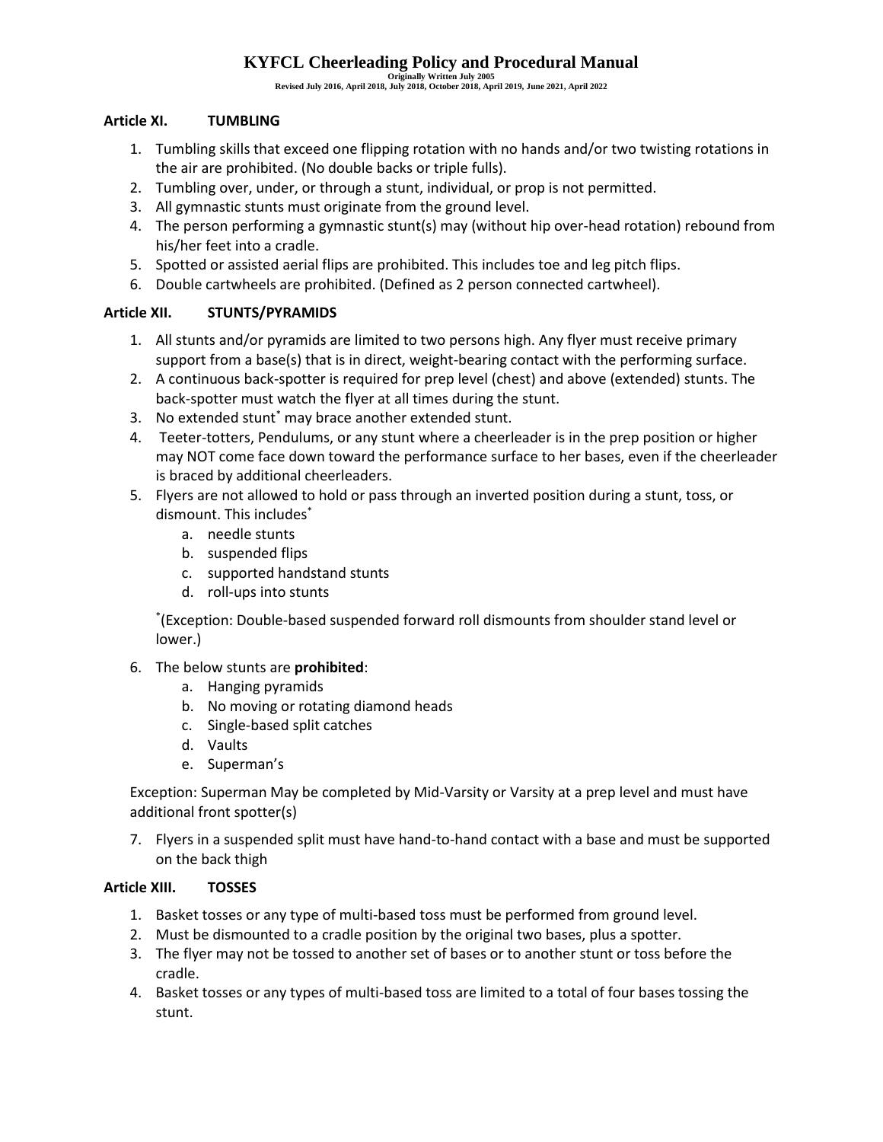**Originally Written July 2005 Revised July 2016, April 2018, July 2018, October 2018, April 2019, June 2021, April 2022**

## <span id="page-7-0"></span>**Article XI. TUMBLING**

- 1. Tumbling skills that exceed one flipping rotation with no hands and/or two twisting rotations in the air are prohibited. (No double backs or triple fulls).
- 2. Tumbling over, under, or through a stunt, individual, or prop is not permitted.
- 3. All gymnastic stunts must originate from the ground level.
- 4. The person performing a gymnastic stunt(s) may (without hip over-head rotation) rebound from his/her feet into a cradle.
- 5. Spotted or assisted aerial flips are prohibited. This includes toe and leg pitch flips.
- 6. Double cartwheels are prohibited. (Defined as 2 person connected cartwheel).

## <span id="page-7-1"></span>**Article XII. STUNTS/PYRAMIDS**

- 1. All stunts and/or pyramids are limited to two persons high. Any flyer must receive primary support from a base(s) that is in direct, weight-bearing contact with the performing surface.
- 2. A continuous back-spotter is required for prep level (chest) and above (extended) stunts. The back-spotter must watch the flyer at all times during the stunt.
- 3. No extended stunt\* may brace another extended stunt.
- 4. Teeter-totters, Pendulums, or any stunt where a cheerleader is in the prep position or higher may NOT come face down toward the performance surface to her bases, even if the cheerleader is braced by additional cheerleaders.
- 5. Flyers are not allowed to hold or pass through an inverted position during a stunt, toss, or dismount. This includes\*
	- a. needle stunts
	- b. suspended flips
	- c. supported handstand stunts
	- d. roll-ups into stunts

\* (Exception: Double-based suspended forward roll dismounts from shoulder stand level or lower.)

## 6. The below stunts are **prohibited**:

- a. Hanging pyramids
- b. No moving or rotating diamond heads
- c. Single-based split catches
- d. Vaults
- e. Superman's

Exception: Superman May be completed by Mid-Varsity or Varsity at a prep level and must have additional front spotter(s)

7. Flyers in a suspended split must have hand-to-hand contact with a base and must be supported on the back thigh

## <span id="page-7-2"></span>**Article XIII. TOSSES**

- 1. Basket tosses or any type of multi-based toss must be performed from ground level.
- 2. Must be dismounted to a cradle position by the original two bases, plus a spotter.
- 3. The flyer may not be tossed to another set of bases or to another stunt or toss before the cradle.
- 4. Basket tosses or any types of multi-based toss are limited to a total of four bases tossing the stunt.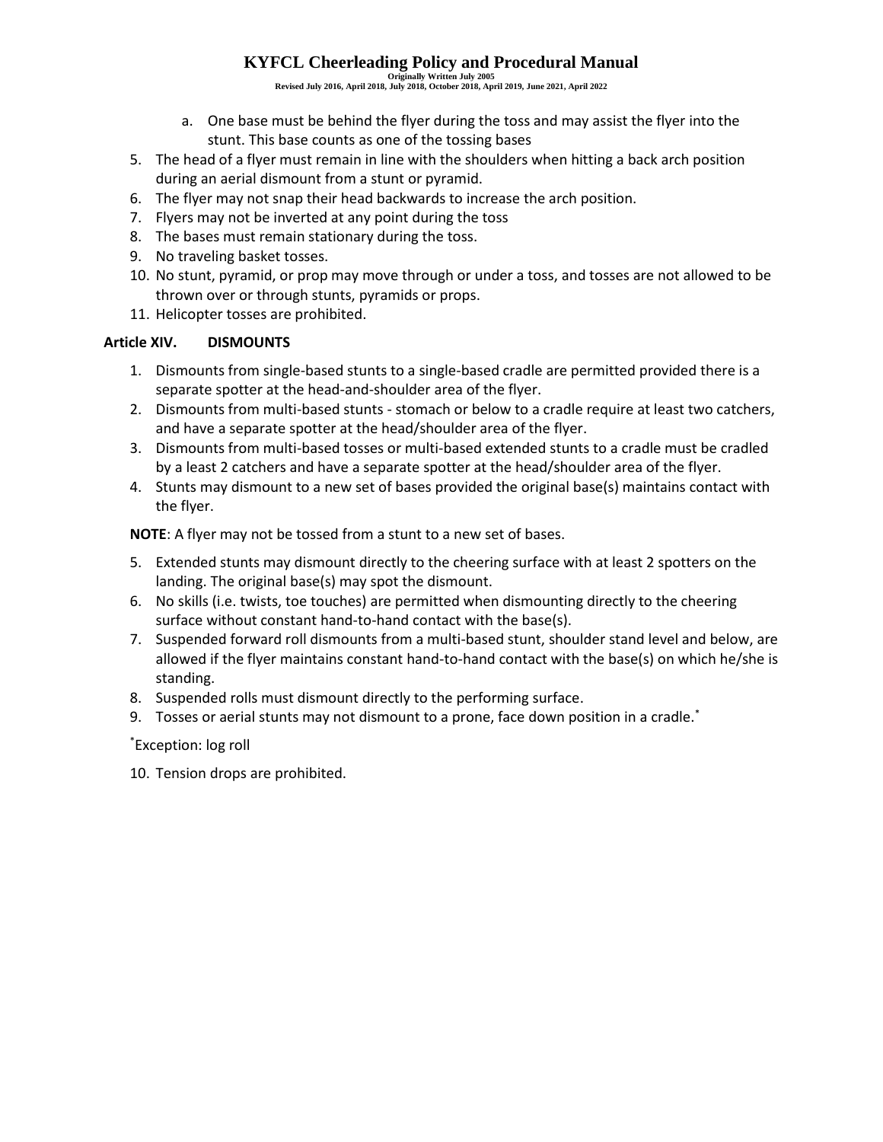**Originally Written July 2005 Revised July 2016, April 2018, July 2018, October 2018, April 2019, June 2021, April 2022**

- a. One base must be behind the flyer during the toss and may assist the flyer into the stunt. This base counts as one of the tossing bases
- 5. The head of a flyer must remain in line with the shoulders when hitting a back arch position during an aerial dismount from a stunt or pyramid.
- 6. The flyer may not snap their head backwards to increase the arch position.
- 7. Flyers may not be inverted at any point during the toss
- 8. The bases must remain stationary during the toss.
- 9. No traveling basket tosses.
- 10. No stunt, pyramid, or prop may move through or under a toss, and tosses are not allowed to be thrown over or through stunts, pyramids or props.
- 11. Helicopter tosses are prohibited.

## <span id="page-8-0"></span>**Article XIV. DISMOUNTS**

- 1. Dismounts from single-based stunts to a single-based cradle are permitted provided there is a separate spotter at the head-and-shoulder area of the flyer.
- 2. Dismounts from multi-based stunts stomach or below to a cradle require at least two catchers, and have a separate spotter at the head/shoulder area of the flyer.
- 3. Dismounts from multi-based tosses or multi-based extended stunts to a cradle must be cradled by a least 2 catchers and have a separate spotter at the head/shoulder area of the flyer.
- 4. Stunts may dismount to a new set of bases provided the original base(s) maintains contact with the flyer.

**NOTE**: A flyer may not be tossed from a stunt to a new set of bases.

- 5. Extended stunts may dismount directly to the cheering surface with at least 2 spotters on the landing. The original base(s) may spot the dismount.
- 6. No skills (i.e. twists, toe touches) are permitted when dismounting directly to the cheering surface without constant hand-to-hand contact with the base(s).
- 7. Suspended forward roll dismounts from a multi-based stunt, shoulder stand level and below, are allowed if the flyer maintains constant hand-to-hand contact with the base(s) on which he/she is standing.
- 8. Suspended rolls must dismount directly to the performing surface.
- 9. Tosses or aerial stunts may not dismount to a prone, face down position in a cradle.\*

\*Exception: log roll

10. Tension drops are prohibited.